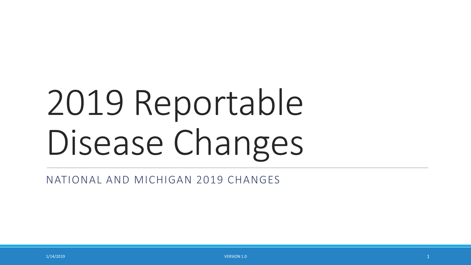# 2019 Reportable Disease Changes

NATIONAL AND MICHIGAN 2019 CHANGES

 $1/14/2019$  and  $1/14/2019$  and  $1/14/2019$  and  $1/14/2019$  and  $1/14/2019$  and  $1/14/2019$  and  $1/14/2019$  and  $1/14/2019$  and  $1/14/2019$  and  $1/14/2019$  and  $1/14/2019$  and  $1/14/2019$  and  $1/14/2019$  and  $1/14/2019$  a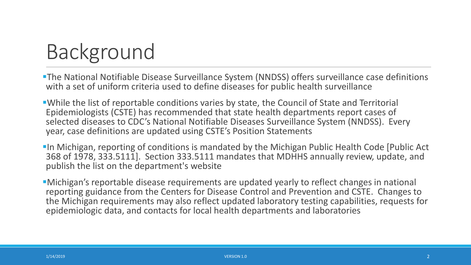### Background

- The National Notifiable Disease Surveillance System (NNDSS) offers surveillance case definitions with a set of uniform criteria used to define diseases for public health surveillance
- While the list of reportable conditions varies by state, the Council of State and Territorial Epidemiologists (CSTE) has recommended that state health departments report cases of selected diseases to CDC's National Notifiable Diseases Surveillance System (NNDSS). Every year, case definitions are updated using CSTE's Position Statements
- **In Michigan, reporting of conditions is mandated by the Michigan Public Health Code [Public Act**] 368 of 1978, 333.5111]. Section 333.5111 mandates that MDHHS annually review, update, and publish the list on the department's website
- Michigan's reportable disease requirements are updated yearly to reflect changes in national reporting guidance from the Centers for Disease Control and Prevention and CSTE. Changes to the Michigan requirements may also reflect updated laboratory testing capabilities, requests for epidemiologic data, and contacts for local health departments and laboratories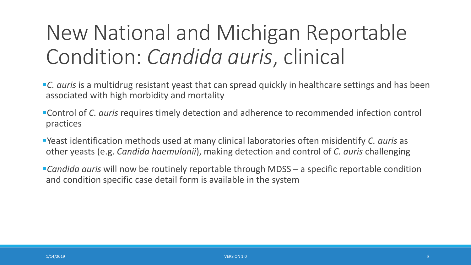### New National and Michigan Reportable Condition: *Candida auris*, clinical

- **C.** *auris* is a multidrug resistant yeast that can spread quickly in healthcare settings and has been associated with high morbidity and mortality
- Control of *C. auris* requires timely detection and adherence to recommended infection control practices
- Yeast identification methods used at many clinical laboratories often misidentify *C. auris* as other yeasts (e.g. *Candida haemulonii*), making detection and control of *C. auris* challenging
- *Candida auris* will now be routinely reportable through MDSS a specific reportable condition and condition specific case detail form is available in the system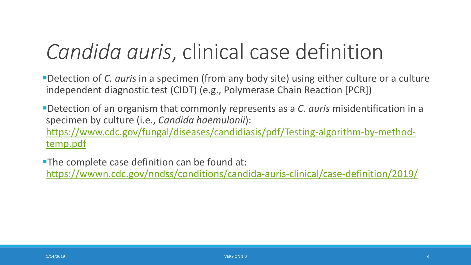### *Candida auris*, clinical case definition

Detection of *C. auris* in a specimen (from any body site) using either culture or a culture independent diagnostic test (CIDT) (e.g., Polymerase Chain Reaction [PCR])

Detection of an organism that commonly represents as a *C. auris* misidentification in a specimen by culture (i.e., *Candida haemulonii*): [https://www.cdc.gov/fungal/diseases/candidiasis/pdf/Testing-algorithm-by-method](https://www.cdc.gov/fungal/diseases/candidiasis/pdf/Testing-algorithm-by-method-temp.pdf)temp.pdf

**The complete case definition can be found at:** <https://wwwn.cdc.gov/nndss/conditions/candida-auris-clinical/case-definition/2019/>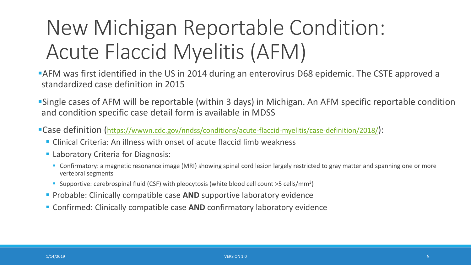## New Michigan Reportable Condition: Acute Flaccid Myelitis (AFM)

AFM was first identified in the US in 2014 during an enterovirus D68 epidemic. The CSTE approved a standardized case definition in 2015

- Single cases of AFM will be reportable (within 3 days) in Michigan. An AFM specific reportable condition and condition specific case detail form is available in MDSS
- Case definition [\(https://wwwn.cdc.gov/nndss/conditions/acute-flaccid-myelitis/case-definition/2018/\)](https://wwwn.cdc.gov/nndss/conditions/acute-flaccid-myelitis/case-definition/2018/):
	- Clinical Criteria: An illness with onset of acute flaccid limb weakness
	- **Laboratory Criteria for Diagnosis:** 
		- **Confirmatory:** a magnetic resonance image (MRI) showing spinal cord lesion largely restricted to gray matter and spanning one or more vertebral segments
		- Supportive: cerebrospinal fluid (CSF) with pleocytosis (white blood cell count  $>5$  cells/mm<sup>3</sup>)
	- **Probable: Clinically compatible case AND supportive laboratory evidence**
	- Confirmed: Clinically compatible case **AND** confirmatory laboratory evidence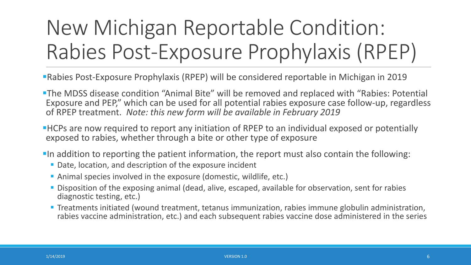# New Michigan Reportable Condition: Rabies Post-Exposure Prophylaxis (RPEP)

- Rabies Post-Exposure Prophylaxis (RPEP) will be considered reportable in Michigan in 2019
- **The MDSS disease condition "Animal Bite" will be removed and replaced with "Rabies: Potential** Exposure and PEP," which can be used for all potential rabies exposure case follow-up, regardless of RPEP treatment. *Note: this new form will be available in February 2019*
- **HCPs are now required to report any initiation of RPEP to an individual exposed or potentially** exposed to rabies, whether through a bite or other type of exposure
- In addition to reporting the patient information, the report must also contain the following:
	- Date, location, and description of the exposure incident
	- Animal species involved in the exposure (domestic, wildlife, etc.)
	- **Disposition of the exposing animal (dead, alive, escaped, available for observation, sent for rabies** diagnostic testing, etc.)
	- **Treatments initiated (wound treatment, tetanus immunization, rabies immune globulin administration,** rabies vaccine administration, etc.) and each subsequent rabies vaccine dose administered in the series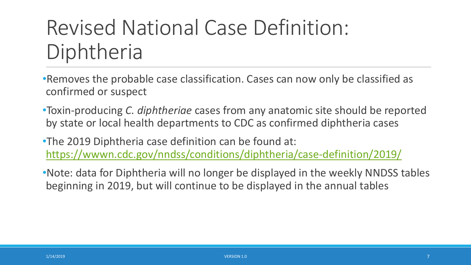### Revised National Case Definition: Diphtheria

•Removes the probable case classification. Cases can now only be classified as confirmed or suspect

•Toxin-producing *C. diphtheriae* cases from any anatomic site should be reported by state or local health departments to CDC as confirmed diphtheria cases

•The 2019 Diphtheria case definition can be found at: <https://wwwn.cdc.gov/nndss/conditions/diphtheria/case-definition/2019/>

•Note: data for Diphtheria will no longer be displayed in the weekly NNDSS tables beginning in 2019, but will continue to be displayed in the annual tables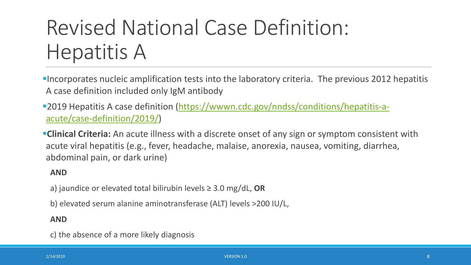### Revised National Case Definition: Hepatitis A

Incorporates nucleic amplification tests into the laboratory criteria. The previous 2012 hepatitis A case definition included only IgM antibody

**-[2019 Hepatitis A case definition \(https://wwwn.cdc.gov/nndss/conditions/hepatitis-a](https://wwwn.cdc.gov/nndss/conditions/hepatitis-a-acute/case-definition/2019/)**acute/case-definition/2019/)

**Clinical Criteria:** An acute illness with a discrete onset of any sign or symptom consistent with acute viral hepatitis (e.g., fever, headache, malaise, anorexia, nausea, vomiting, diarrhea, abdominal pain, or dark urine)

#### **AND**

a) jaundice or elevated total bilirubin levels ≥ 3.0 mg/dL, **OR**

b) elevated serum alanine aminotransferase (ALT) levels >200 IU/L,

#### **AND**

c) the absence of a more likely diagnosis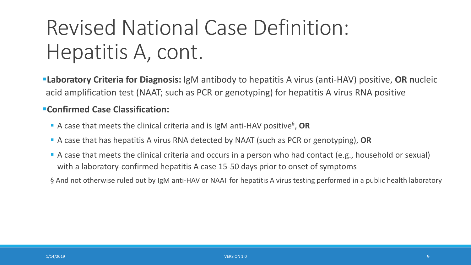### Revised National Case Definition: Hepatitis A, cont.

**Laboratory Criteria for Diagnosis:** IgM antibody to hepatitis A virus (anti-HAV) positive, **OR n**ucleic acid amplification test (NAAT; such as PCR or genotyping) for hepatitis A virus RNA positive

#### **Confirmed Case Classification:**

- A case that meets the clinical criteria and is IgM anti-HAV positive<sup>§</sup>, OR
- A case that has hepatitis A virus RNA detected by NAAT (such as PCR or genotyping), **OR**
- A case that meets the clinical criteria and occurs in a person who had contact (e.g., household or sexual) with a laboratory-confirmed hepatitis A case 15-50 days prior to onset of symptoms
- § And not otherwise ruled out by IgM anti-HAV or NAAT for hepatitis A virus testing performed in a public health laboratory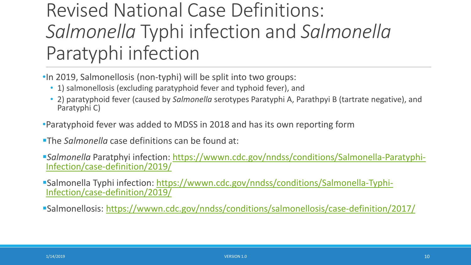### Revised National Case Definitions: *Salmonella* Typhi infection and *Salmonella* Paratyphi infection

- •In 2019, Salmonellosis (non-typhi) will be split into two groups:
	- 1) salmonellosis (excluding paratyphoid fever and typhoid fever), and
	- 2) paratyphoid fever (caused by *Salmonella* serotypes Paratyphi A, Parathpyi B (tartrate negative), and Paratyphi C)
- •Paratyphoid fever was added to MDSS in 2018 and has its own reporting form
- The *Salmonella* case definitions can be found at:
- *Salmonella* Paratphyi [infection: https://wwwn.cdc.gov/nndss/conditions/Salmonella-Paratyphi-](https://wwwn.cdc.gov/nndss/conditions/Salmonella-Paratyphi-Infection/case-definition/2019/) Infection/case-definition/2019/
- [Salmonella Typhi infection: https://wwwn.cdc.gov/nndss/conditions/Salmonella-Typhi-](https://wwwn.cdc.gov/nndss/conditions/Salmonella-Typhi-Infection/case-definition/2019/) Infection/case-definition/2019/
- Salmonellosis: <https://wwwn.cdc.gov/nndss/conditions/salmonellosis/case-definition/2017/>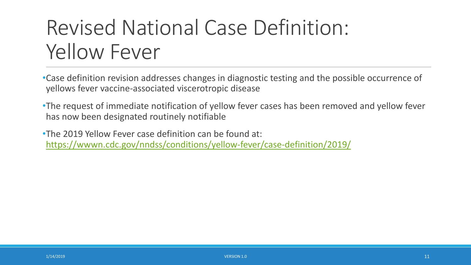### Revised National Case Definition: Yellow Fever

•Case definition revision addresses changes in diagnostic testing and the possible occurrence of yellows fever vaccine-associated viscerotropic disease

•The request of immediate notification of yellow fever cases has been removed and yellow fever has now been designated routinely notifiable

•The 2019 Yellow Fever case definition can be found at: <https://wwwn.cdc.gov/nndss/conditions/yellow-fever/case-definition/2019/>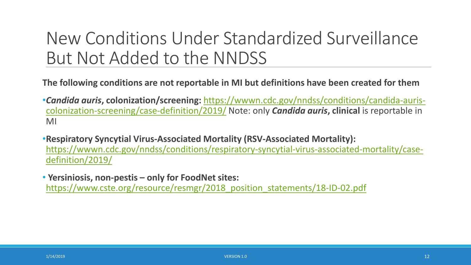### New Conditions Under Standardized Surveillance But Not Added to the NNDSS

**The following conditions are not reportable in MI but definitions have been created for them**

- •*Candida auris***, colonization/screening:** [https://wwwn.cdc.gov/nndss/conditions/candida-auris](https://wwwn.cdc.gov/nndss/conditions/candida-auris-colonization-screening/case-definition/2019/)colonization-screening/case-definition/2019/ Note: only *Candida auris***, clinical** is reportable in MI
- •**Respiratory Syncytial Virus-Associated Mortality (RSV-Associated Mortality):**  [https://wwwn.cdc.gov/nndss/conditions/respiratory-syncytial-virus-associated-mortality/case](https://wwwn.cdc.gov/nndss/conditions/respiratory-syncytial-virus-associated-mortality/case-definition/2019/)definition/2019/

• **Yersiniosis, non-pestis – only for FoodNet sites:**  https://www.cste.org/resource/resmgr/2018 position statements/18-ID-02.pdf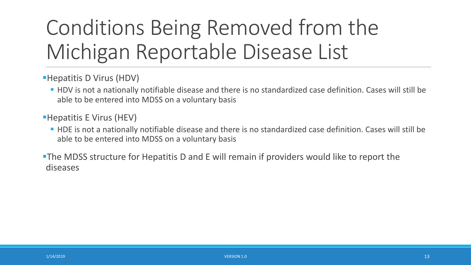# Conditions Being Removed from the Michigan Reportable Disease List

- Hepatitis D Virus (HDV)
	- HDV is not a nationally notifiable disease and there is no standardized case definition. Cases will still be able to be entered into MDSS on a voluntary basis
- Hepatitis E Virus (HEV)
	- HDE is not a nationally notifiable disease and there is no standardized case definition. Cases will still be able to be entered into MDSS on a voluntary basis
- The MDSS structure for Hepatitis D and E will remain if providers would like to report the diseases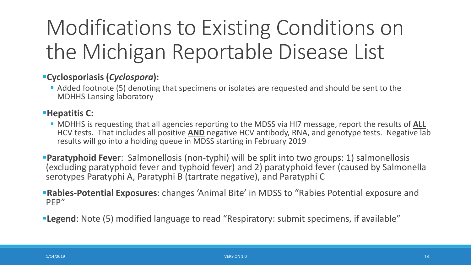# Modifications to Existing Conditions on the Michigan Reportable Disease List

#### **Cyclosporiasis (***Cyclospora***):**

 Added footnote (5) denoting that specimens or isolates are requested and should be sent to the MDHHS Lansing laboratory

#### **Hepatitis C:**

- MDHHS is requesting that all agencies reporting to the MDSS via Hl7 message, report the results of **ALL** HCV tests. That includes all positive **AND** negative HCV antibody, RNA, and genotype tests. Negative lab results will go into a holding queue in MDSS starting in February 2019
- **Paratyphoid Fever**: Salmonellosis (non-typhi) will be split into two groups: 1) salmonellosis (excluding paratyphoid fever and typhoid fever) and 2) paratyphoid fever (caused by Salmonella serotypes Paratyphi A, Paratyphi B (tartrate negative), and Paratyphi C
- **Rabies-Potential Exposures**: changes 'Animal Bite' in MDSS to "Rabies Potential exposure and PEP"
- **Legend**: Note (5) modified language to read "Respiratory: submit specimens, if available"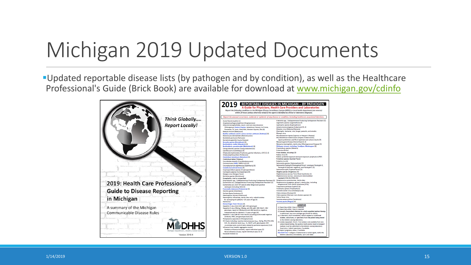### Michigan 2019 Updated Documents

Updated reportable disease lists (by pathogen and by condition), as well as the Healthcare Professional's Guide (Brick Book) are available for download at [www.michigan.gov/cdinfo](http://www.michigan.gov/cdinfo)



2019 REPORTABLE DISEASES IN MICHIGAN - BY PATHOGEN A Guide for Physicians, Health Care Providers and Laboratories Report the following conditions to the Michigan Disease Surveillance System (MDSS) or local health department (see reverse) within 24 hours (unless otherwise noted) if the agent is identified by clinical or laboratory diganosis. Report the unusual occurrence, outbreak or epidemic of any disease or condition, including healthcare, associated infection Acute flaccid myelitis (1) Klebsiella sop., Carbapenemase Producing-Carbapenem Resistant (5) Legionella species (Legionellosis) (5) Anaplasma phagocytophilum (Anaplasmosis) Arboviral encephalitides, neuro- and non-neuroinvasive: Leptospira species (Leptospirosis) Listeria monocytogenes (Listeriosis) (5, 6)<br>Measles virus (Measles/Rubeola) Chikungunya, Eastern Equine, Jamestown Canyon, La Crosse, Powassan, St. Louis, West Nile, Western Fouine, Zika (6) Powassan, ac. cours, west Meningitis: bacterial, viral, fungal, parasitic, and amebic Mumps virus Bacillus anthracis and B. cereus serovar anthracis (Anthrax) (4) **Blastomyces dermatitidis (Blastomycosis)** Mycobacterium leprae (Leprosy or Hansen's Disease) Bordetella pertussis (Pertussis) Mycobacterium tuberculosis complex (Tuberculosis) Borrelia burgdorferi (Lyme Disease)<br>Brucella species (Brucellosis) (4)<br>Burkholderia mallei (Glanders) (4) report preliminary and final rapid test and culture results (4) Neisseria conorrhoeae (Gonorrhea) (3, 6) Neisseria meningitidis, sterile sites (Meningoco Burkholderia pseudomallei (Melio Orthopox viruses, including: Smallpox, Monkeypox (4) **Incident** Plasmodium species (Malaria) Campylobacter species (Campylobacteriosis) Candida auris (Candidiasis) (4) Poliovirus (Polio) Chlamydia trachomatis (Trachoma, genital infections, LGV) (3, 6) Prion disease, including CJD Chlamydophila psittaci (Psittacosis) Rabies virus (4) Clostridium botulinum (Botulism) (4) Rabies: potential exposure and post exposure prophylaxis (PEP) **Rickettsia species (Spotted Fever)** Clostridium tetani (Tetanus) Coccidinidae immitis (Coccidini Rubella virus (6) Coronaviruses (SARS, MERS-CoV) (5) Corvnebacterium diphtheriae (Diphtheria) (5) Paratyphi B (tartrate negative), and Paratyphi C (5) xiella burnetii (Q Fever) (4) Salmonella typhi (Typhoid Fever) (5) Cryptosporidium species (Cryptosporidiosi: Cyclospora species (Cyclosporiasis) (5) Shigella species (Shigellosis) (5) Dengue virus (Dengue Fever) aphylococcus aureus Toxic Shock Syndrome () **Ehrlichia species (Ehrlichiosis)** Staphylococcus aureus, vancomycin intermediate resistant (VISA (5)/VRSA (4)) Encephalitis, viral or unspecified Enterobacter sop., Carbapenemase Producine-Carbapenem Resistant (5) Streptococcus pneumoniae, sterile sites Streptococcus pyogenes, group A, sterile sites, including<br>Streptococcal Toxic Shock Syndrome (STSS) Escherichia coli, Carbapenemase Producing-Carbapenem Resistant (5) Escherichia coli, O157:H7 and all other Shiga toxin positive serotypes (including HUS) (5) Treponema pallidum (Syphilis) (6) cisella tularensis (Tularemia) (4) **Trichinella spiralis (Trichinellosis** Varicella-zoster virus (Chickenpox) (6) Giardia species (Giardiasis) Guillain-Barre Syndrome (1) Vibrio cholera (Cholera) (4) Vibrio species (Vibriosis: non-cholera species) (5) Haemophilus ducreyi (Chancroid) Haemophilus influenzae, sterile sites only-submit isolates Yellow fever virus **Yersinia enterocolitica (Yersiniosis)** for serotyping for patients <15 years of age (5) **Yersinia pestis (Plague) (4)** Hantavirus **Imorrhagic Fever Viruses (4)** LEGEND<br>1) Reporting within 3 days is required.<br>2) Reporting within 7 days is required. Hepatitis A virus (Anti-HAV IgM, HAV genotype) Hepatitis B virus (HBsAg, HBeAg, anti-HBc IgM, HBV NAAT, HBV genotype; report all HBsAg and anti-HBs (positive, negative, 3) Sexually transmitted infection for which expedited partner th indeterminate) for children  $\leq$  5 years of age) (6)<br>Hepatitis C virus (all HCV test results including positive and negative is authorized. See www.michigan.gov/hivstd for details. 4) A laboratory shall immediately submit suspect or confirmed antibody, RNA, and genotype tests) (6) isolates, subcultures, or specimens from the patient being tested Histoplasma capsulatum (Histoplasmosis) to the MDHHS Lansing laboratory. HIV (tests including: reactive immunoassays (e.g., Ab/Ag, TD1/TD2,WB, I Isolate requested. Enteric: If an isolate is not available from non EIA, IA), detection tests (e.g., VL, NAAT, p24, genotypes), CD4 culture based testing, the positive broth and/or stool in transport counts/percents; and all tests related to perinatal exposures) (2,6) medium must be submitted to the MDHHS Lansing laboratory. Influenza virus (weekly aggregate counts) Respiratory: Submit specimens, if available Pediatric influenza mortality, report individual cases (5) Report pregnancy status, if available. Novel influenza viruses, report individual cases (5, 6)

lue Bold Text = Category A bioterrorism or select agent, notify the

MDHHS Laboratory immediately: (517) 335-8063

vasaki Disease (1)